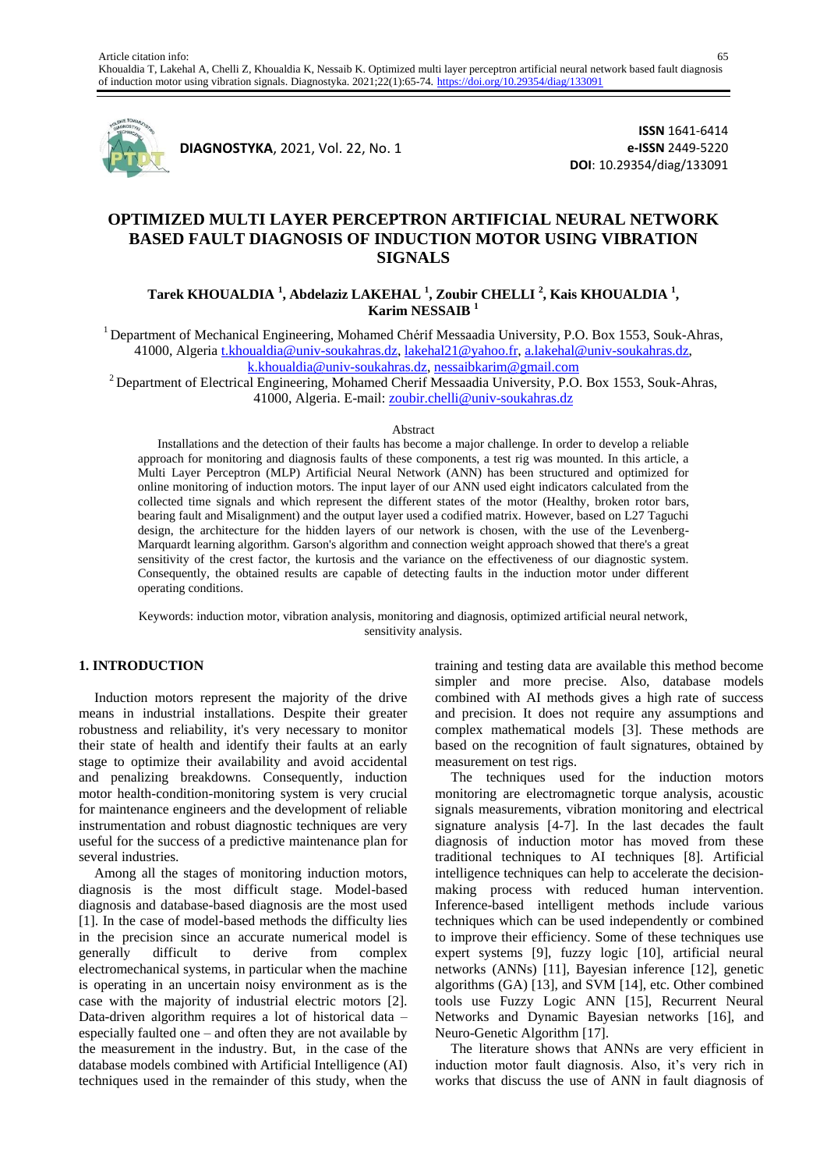

**DIAGNOSTYKA**, 2021, Vol. 22, No. 1

**ISSN** 1641-6414 **e-ISSN** 2449-5220 **DOI**: 10.29354/diag/133091

# **OPTIMIZED MULTI LAYER PERCEPTRON ARTIFICIAL NEURAL NETWORK BASED FAULT DIAGNOSIS OF INDUCTION MOTOR USING VIBRATION SIGNALS**

# **Tarek KHOUALDIA <sup>1</sup> , Abdelaziz LAKEHAL <sup>1</sup> , Zoubir CHELLI <sup>2</sup> , Kais KHOUALDIA <sup>1</sup> , Karim NESSAIB <sup>1</sup>**

<sup>1</sup> Department of Mechanical Engineering, Mohamed Chérif Messaadia University, P.O. Box 1553, Souk-Ahras, 41000, Algeria [t.khoualdia@univ-soukahras.dz,](mailto:t.khoualdia@univ-soukahras.dz) [lakehal21@yahoo.fr,](mailto:lakehal21@yahoo.fr) [a.lakehal@univ-soukahras.dz,](mailto:a.lakehal@univ-soukahras.dz) [k.khoualdia@univ-soukahras.dz,](mailto:k.khoualdia@univ-soukahras.dz) [nessaibkarim@gmail.com](mailto:nessaibkarim@gmail.com)

<sup>2</sup> Department of Electrical Engineering, Mohamed Cherif Messaadia University, P.O. Box 1553, Souk-Ahras, 41000, Algeria. E-mail: [zoubir.chelli@univ-soukahras.dz](mailto:zoubir.chelli@univ-soukahras.dz)

#### Abstract

Installations and the detection of their faults has become a major challenge. In order to develop a reliable approach for monitoring and diagnosis faults of these components, a test rig was mounted. In this article, a Multi Layer Perceptron (MLP) Artificial Neural Network (ANN) has been structured and optimized for online monitoring of induction motors. The input layer of our ANN used eight indicators calculated from the collected time signals and which represent the different states of the motor (Healthy, broken rotor bars, bearing fault and Misalignment) and the output layer used a codified matrix. However, based on L27 Taguchi design, the architecture for the hidden layers of our network is chosen, with the use of the Levenberg-Marquardt learning algorithm. Garson's algorithm and connection weight approach showed that there's a great sensitivity of the crest factor, the kurtosis and the variance on the effectiveness of our diagnostic system. Consequently, the obtained results are capable of detecting faults in the induction motor under different operating conditions.

Keywords: induction motor, vibration analysis, monitoring and diagnosis, optimized artificial neural network, sensitivity analysis.

# **1. INTRODUCTION**

Induction motors represent the majority of the drive means in industrial installations. Despite their greater robustness and reliability, it's very necessary to monitor their state of health and identify their faults at an early stage to optimize their availability and avoid accidental and penalizing breakdowns. Consequently, induction motor health-condition-monitoring system is very crucial for maintenance engineers and the development of reliable instrumentation and robust diagnostic techniques are very useful for the success of a predictive maintenance plan for several industries.

Among all the stages of monitoring induction motors, diagnosis is the most difficult stage. Model-based diagnosis and database-based diagnosis are the most used [1]. In the case of model-based methods the difficulty lies in the precision since an accurate numerical model is generally difficult to derive from complex electromechanical systems, in particular when the machine is operating in an uncertain noisy environment as is the case with the majority of industrial electric motors [2]. Data-driven algorithm requires a lot of historical data – especially faulted one – and often they are not available by the measurement in the industry. But, in the case of the database models combined with Artificial Intelligence (AI) techniques used in the remainder of this study, when the

training and testing data are available this method become simpler and more precise. Also, database models combined with AI methods gives a high rate of success and precision. It does not require any assumptions and complex mathematical models [3]. These methods are based on the recognition of fault signatures, obtained by measurement on test rigs.

The techniques used for the induction motors monitoring are electromagnetic torque analysis, acoustic signals measurements, vibration monitoring and electrical signature analysis [4-7]. In the last decades the fault diagnosis of induction motor has moved from these traditional techniques to AI techniques [8]. Artificial intelligence techniques can help to accelerate the decisionmaking process with reduced human intervention. Inference-based intelligent methods include various techniques which can be used independently or combined to improve their efficiency. Some of these techniques use expert systems [9], fuzzy logic [10], artificial neural networks (ANNs) [11], Bayesian inference [12], genetic algorithms (GA) [13], and SVM [14], etc. Other combined tools use Fuzzy Logic ANN [15], Recurrent Neural Networks and Dynamic Bayesian networks [16], and Neuro-Genetic Algorithm [17].

The literature shows that ANNs are very efficient in induction motor fault diagnosis. Also, it's very rich in works that discuss the use of ANN in fault diagnosis of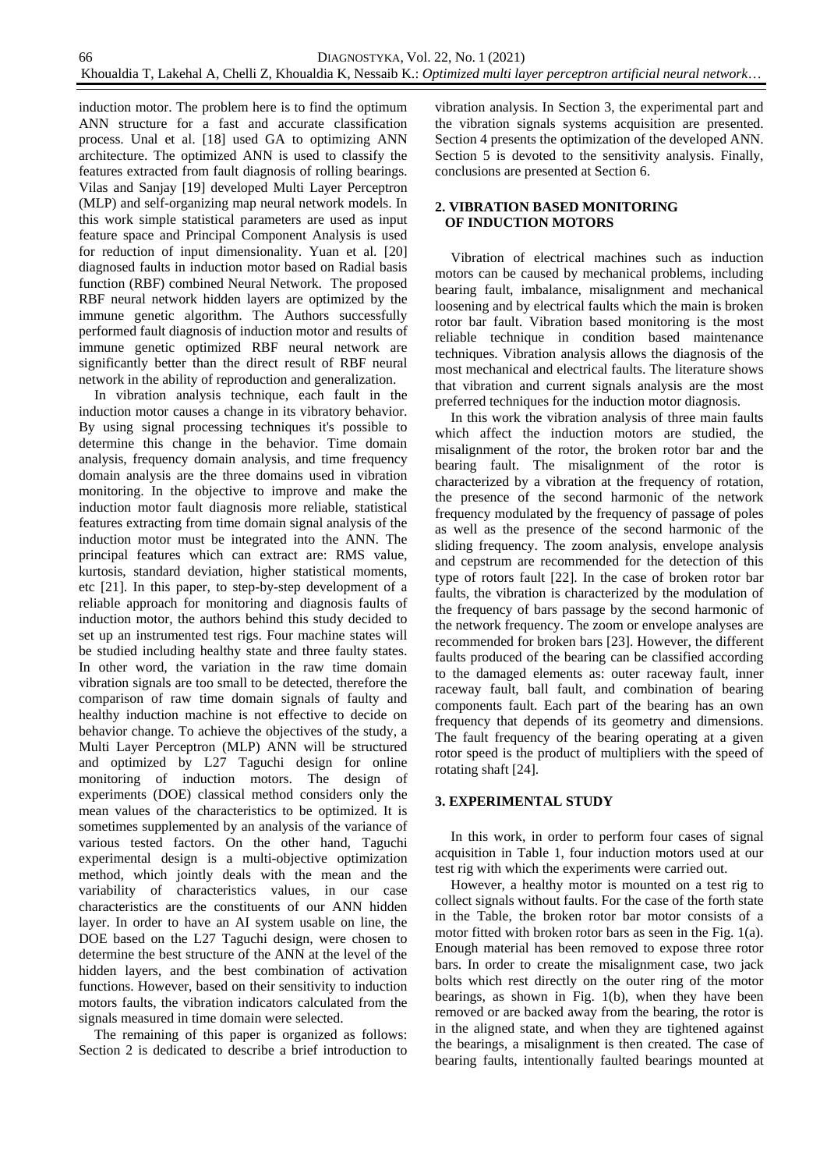induction motor. The problem here is to find the optimum ANN structure for a fast and accurate classification process. Unal et al. [18] used GA to optimizing ANN architecture. The optimized ANN is used to classify the features extracted from fault diagnosis of rolling bearings. Vilas and Sanjay [19] developed Multi Layer Perceptron (MLP) and self-organizing map neural network models. In this work simple statistical parameters are used as input feature space and Principal Component Analysis is used for reduction of input dimensionality. Yuan et al. [20] diagnosed faults in induction motor based on Radial basis function (RBF) combined Neural Network. The proposed RBF neural network hidden layers are optimized by the immune genetic algorithm. The Authors successfully performed fault diagnosis of induction motor and results of immune genetic optimized RBF neural network are significantly better than the direct result of RBF neural network in the ability of reproduction and generalization.

In vibration analysis technique, each fault in the induction motor causes a change in its vibratory behavior. By using signal processing techniques it's possible to determine this change in the behavior. Time domain analysis, frequency domain analysis, and time frequency domain analysis are the three domains used in vibration monitoring. In the objective to improve and make the induction motor fault diagnosis more reliable, statistical features extracting from time domain signal analysis of the induction motor must be integrated into the ANN. The principal features which can extract are: RMS value, kurtosis, standard deviation, higher statistical moments, etc [21]. In this paper, to step-by-step development of a reliable approach for monitoring and diagnosis faults of induction motor, the authors behind this study decided to set up an instrumented test rigs. Four machine states will be studied including healthy state and three faulty states. In other word, the variation in the raw time domain vibration signals are too small to be detected, therefore the comparison of raw time domain signals of faulty and healthy induction machine is not effective to decide on behavior change. To achieve the objectives of the study, a Multi Layer Perceptron (MLP) ANN will be structured and optimized by L27 Taguchi design for online monitoring of induction motors. The design of experiments (DOE) classical method considers only the mean values of the characteristics to be optimized. It is sometimes supplemented by an analysis of the variance of various tested factors. On the other hand, Taguchi experimental design is a multi-objective optimization method, which jointly deals with the mean and the variability of characteristics values, in our case characteristics are the constituents of our ANN hidden layer. In order to have an AI system usable on line, the DOE based on the L27 Taguchi design, were chosen to determine the best structure of the ANN at the level of the hidden layers, and the best combination of activation functions. However, based on their sensitivity to induction motors faults, the vibration indicators calculated from the signals measured in time domain were selected.

The remaining of this paper is organized as follows: Section 2 is dedicated to describe a brief introduction to

vibration analysis. In Section 3, the experimental part and the vibration signals systems acquisition are presented. Section 4 presents the optimization of the developed ANN. Section 5 is devoted to the sensitivity analysis. Finally, conclusions are presented at Section 6.

# **2. VIBRATION BASED MONITORING OF INDUCTION MOTORS**

Vibration of electrical machines such as induction motors can be caused by mechanical problems, including bearing fault, imbalance, misalignment and mechanical loosening and by electrical faults which the main is broken rotor bar fault. Vibration based monitoring is the most reliable technique in condition based maintenance techniques. Vibration analysis allows the diagnosis of the most mechanical and electrical faults. The literature shows that vibration and current signals analysis are the most preferred techniques for the induction motor diagnosis.

In this work the vibration analysis of three main faults which affect the induction motors are studied, the misalignment of the rotor, the broken rotor bar and the bearing fault. The misalignment of the rotor is characterized by a vibration at the frequency of rotation, the presence of the second harmonic of the network frequency modulated by the frequency of passage of poles as well as the presence of the second harmonic of the sliding frequency. The zoom analysis, envelope analysis and cepstrum are recommended for the detection of this type of rotors fault [22]. In the case of broken rotor bar faults, the vibration is characterized by the modulation of the frequency of bars passage by the second harmonic of the network frequency. The zoom or envelope analyses are recommended for broken bars [23]. However, the different faults produced of the bearing can be classified according to the damaged elements as: outer raceway fault, inner raceway fault, ball fault, and combination of bearing components fault. Each part of the bearing has an own frequency that depends of its geometry and dimensions. The fault frequency of the bearing operating at a given rotor speed is the product of multipliers with the speed of rotating shaft [24].

# **3. EXPERIMENTAL STUDY**

In this work, in order to perform four cases of signal acquisition in Table 1, four induction motors used at our test rig with which the experiments were carried out.

However, a healthy motor is mounted on a test rig to collect signals without faults. For the case of the forth state in the Table, the broken rotor bar motor consists of a motor fitted with broken rotor bars as seen in the Fig. 1(a). Enough material has been removed to expose three rotor bars. In order to create the misalignment case, two jack bolts which rest directly on the outer ring of the motor bearings, as shown in Fig. 1(b), when they have been removed or are backed away from the bearing, the rotor is in the aligned state, and when they are tightened against the bearings, a misalignment is then created. The case of bearing faults, intentionally faulted bearings mounted at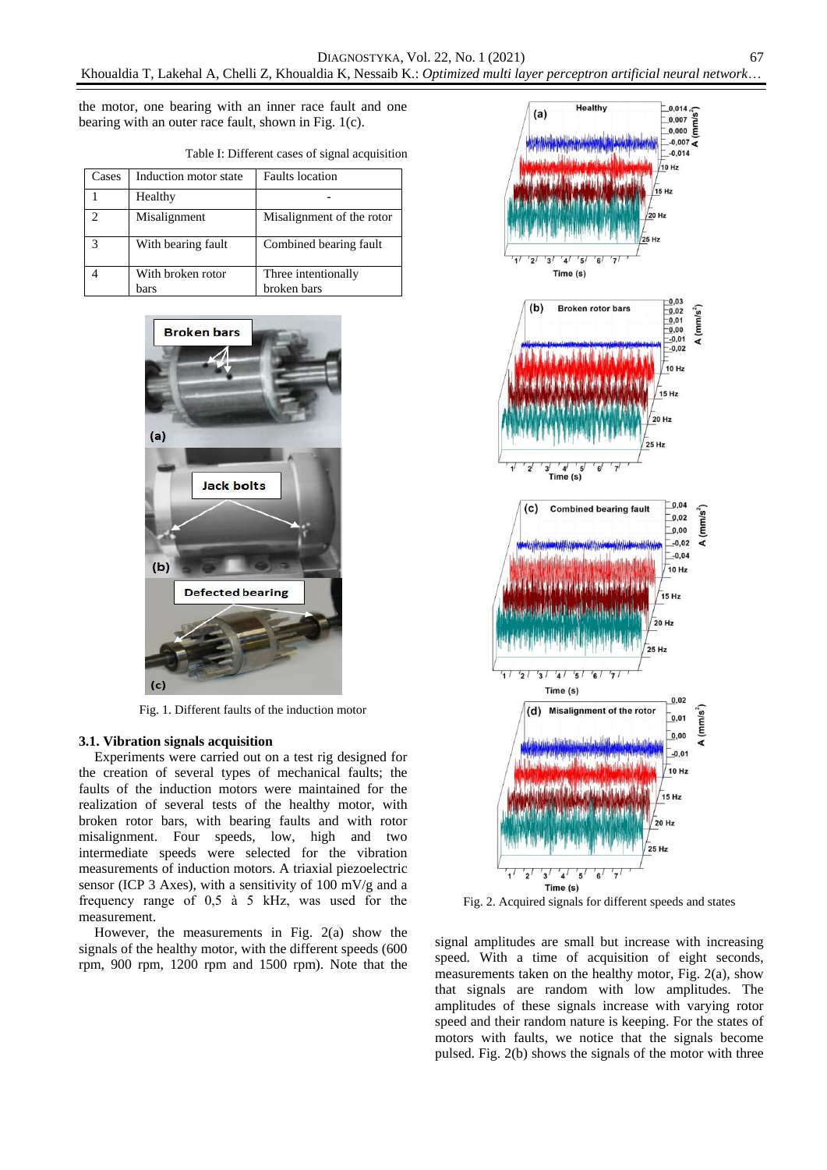the motor, one bearing with an inner race fault and one bearing with an outer race fault, shown in Fig. 1(c).

| Cases | Induction motor state | <b>Faults</b> location    |
|-------|-----------------------|---------------------------|
|       | Healthy               |                           |
|       | Misalignment          | Misalignment of the rotor |
| 2     | With bearing fault    | Combined bearing fault    |
|       | With broken rotor     | Three intentionally       |
|       | bars                  | broken bars               |

|  | Table I: Different cases of signal acquisition |  |  |  |
|--|------------------------------------------------|--|--|--|
|  |                                                |  |  |  |



Fig. 1. Different faults of the induction motor

#### **3.1. Vibration signals acquisition**

Experiments were carried out on a test rig designed for the creation of several types of mechanical faults; the faults of the induction motors were maintained for the realization of several tests of the healthy motor, with broken rotor bars, with bearing faults and with rotor misalignment. Four speeds, low, high and two intermediate speeds were selected for the vibration measurements of induction motors. A triaxial piezoelectric sensor (ICP 3 Axes), with a sensitivity of 100 mV/g and a frequency range of 0,5 à 5 kHz, was used for the measurement.

However, the measurements in Fig. 2(a) show the signals of the healthy motor, with the different speeds (600 rpm, 900 rpm, 1200 rpm and 1500 rpm). Note that the



Fig. 2. Acquired signals for different speeds and states

signal amplitudes are small but increase with increasing speed. With a time of acquisition of eight seconds, measurements taken on the healthy motor, Fig. 2(a), show that signals are random with low amplitudes. The amplitudes of these signals increase with varying rotor speed and their random nature is keeping. For the states of motors with faults, we notice that the signals become pulsed. Fig. 2(b) shows the signals of the motor with three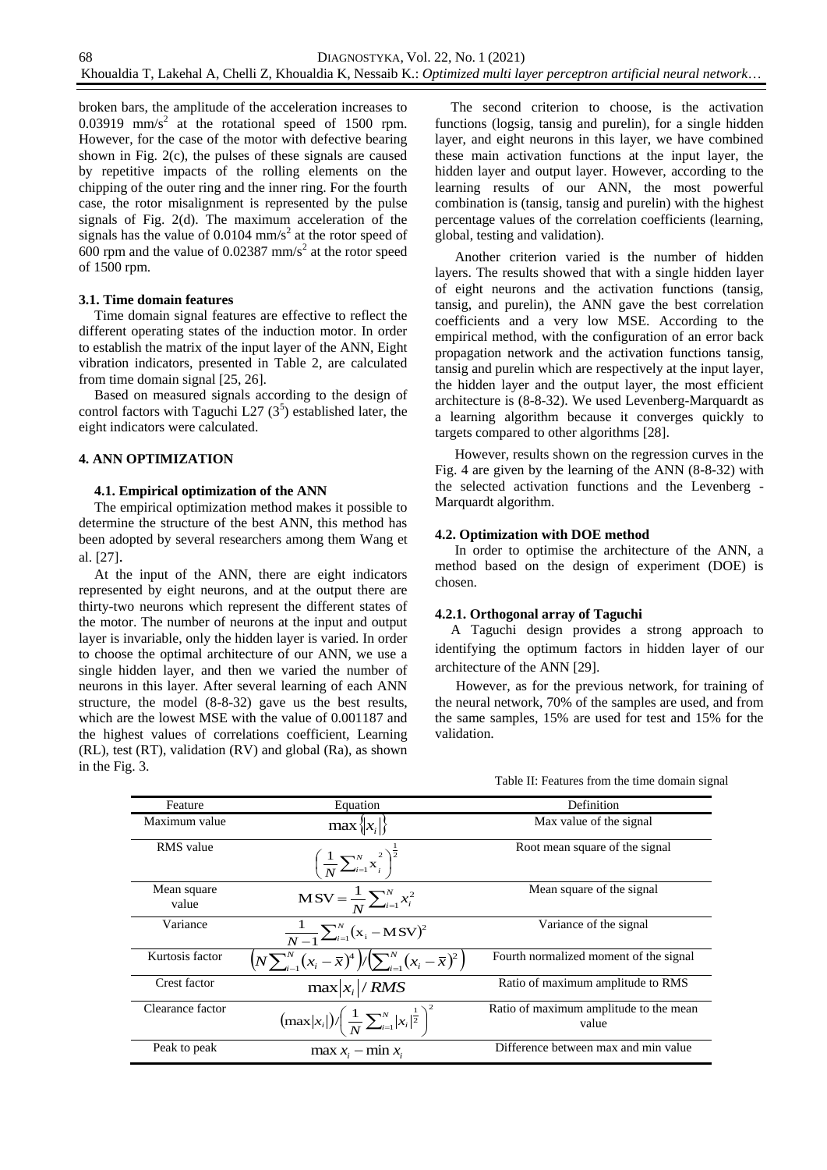broken bars, the amplitude of the acceleration increases to 0.03919 mm/s<sup>2</sup> at the rotational speed of 1500 rpm. However, for the case of the motor with defective bearing shown in Fig. 2(c), the pulses of these signals are caused by repetitive impacts of the rolling elements on the chipping of the outer ring and the inner ring. For the fourth case, the rotor misalignment is represented by the pulse signals of Fig. 2(d). The maximum acceleration of the signals has the value of 0.0104 mm/s<sup>2</sup> at the rotor speed of  $600$  rpm and the value of 0.02387 mm/s<sup>2</sup> at the rotor speed of 1500 rpm.

### **3.1. Time domain features**

Time domain signal features are effective to reflect the different operating states of the induction motor. In order to establish the matrix of the input layer of the ANN, Eight vibration indicators, presented in Table 2, are calculated from time domain signal [25, 26].

Based on measured signals according to the design of control factors with Taguchi L27  $(3^5)$  established later, the eight indicators were calculated.

### **4. ANN OPTIMIZATION**

### **4.1. Empirical optimization of the ANN**

The empirical optimization method makes it possible to determine the structure of the best ANN, this method has been adopted by several researchers among them Wang et al. [27].

At the input of the ANN, there are eight indicators represented by eight neurons, and at the output there are thirty-two neurons which represent the different states of the motor. The number of neurons at the input and output layer is invariable, only the hidden layer is varied. In order to choose the optimal architecture of our ANN, we use a single hidden layer, and then we varied the number of neurons in this layer. After several learning of each ANN structure, the model (8-8-32) gave us the best results, which are the lowest MSE with the value of 0.001187 and the highest values of correlations coefficient, Learning (RL), test (RT), validation (RV) and global (Ra), as shown in the Fig. 3.

The second criterion to choose, is the activation functions (logsig, tansig and purelin), for a single hidden layer, and eight neurons in this layer, we have combined these main activation functions at the input layer, the hidden layer and output layer. However, according to the learning results of our ANN, the most powerful combination is (tansig, tansig and purelin) with the highest percentage values of the correlation coefficients (learning, global, testing and validation).

Another criterion varied is the number of hidden layers. The results showed that with a single hidden layer of eight neurons and the activation functions (tansig, tansig, and purelin), the ANN gave the best correlation coefficients and a very low MSE. According to the empirical method, with the configuration of an error back propagation network and the activation functions tansig, tansig and purelin which are respectively at the input layer, the hidden layer and the output layer, the most efficient architecture is (8-8-32). We used Levenberg-Marquardt as a learning algorithm because it converges quickly to targets compared to other algorithms [28].

However, results shown on the regression curves in the Fig. 4 are given by the learning of the ANN (8-8-32) with the selected activation functions and the Levenberg - Marquardt algorithm.

### **4.2. Optimization with DOE method**

In order to optimise the architecture of the ANN, a method based on the design of experiment (DOE) is chosen.

#### **4.2.1. Orthogonal array of Taguchi**

A Taguchi design provides a strong approach to identifying the optimum factors in hidden layer of our architecture of the ANN [29].

However, as for the previous network, for training of the neural network, 70% of the samples are used, and from the same samples, 15% are used for test and 15% for the validation.

| Feature              | Equation                                                                                                              | Definition                                      |
|----------------------|-----------------------------------------------------------------------------------------------------------------------|-------------------------------------------------|
| Maximum value        | $\max \{  x_i  \}$                                                                                                    | Max value of the signal                         |
| <b>RMS</b> value     | $\left(\frac{1}{N}\sum_{i=1}^N x_i^2\right)^{\frac{1}{2}}$                                                            | Root mean square of the signal                  |
| Mean square<br>value | $MSV = \frac{1}{N} \sum_{i=1}^{N} x_i^2$                                                                              | Mean square of the signal                       |
| Variance             | $\frac{1}{N-1}\sum_{i=1}^{N} (x_i - MSV)^2$                                                                           | Variance of the signal                          |
| Kurtosis factor      | $\left(N\sum_{i=1}^{N} \left(x_i - \overline{x}\right)^4\right) / \left(\sum_{i=1}^{N} (x_i - \overline{x})^2\right)$ | Fourth normalized moment of the signal          |
| Crest factor         | $\max  x_i  / RMS$                                                                                                    | Ratio of maximum amplitude to RMS               |
| Clearance factor     | $\left(\max x_i \right) / \left(\frac{1}{N} \sum_{i=1}^{N}  x_i ^{\frac{1}{2}}\right)^{2}$                            | Ratio of maximum amplitude to the mean<br>value |
| Peak to peak         | $\max x_i - \min x_i$                                                                                                 | Difference between max and min value            |

Table II: Features from the time domain signal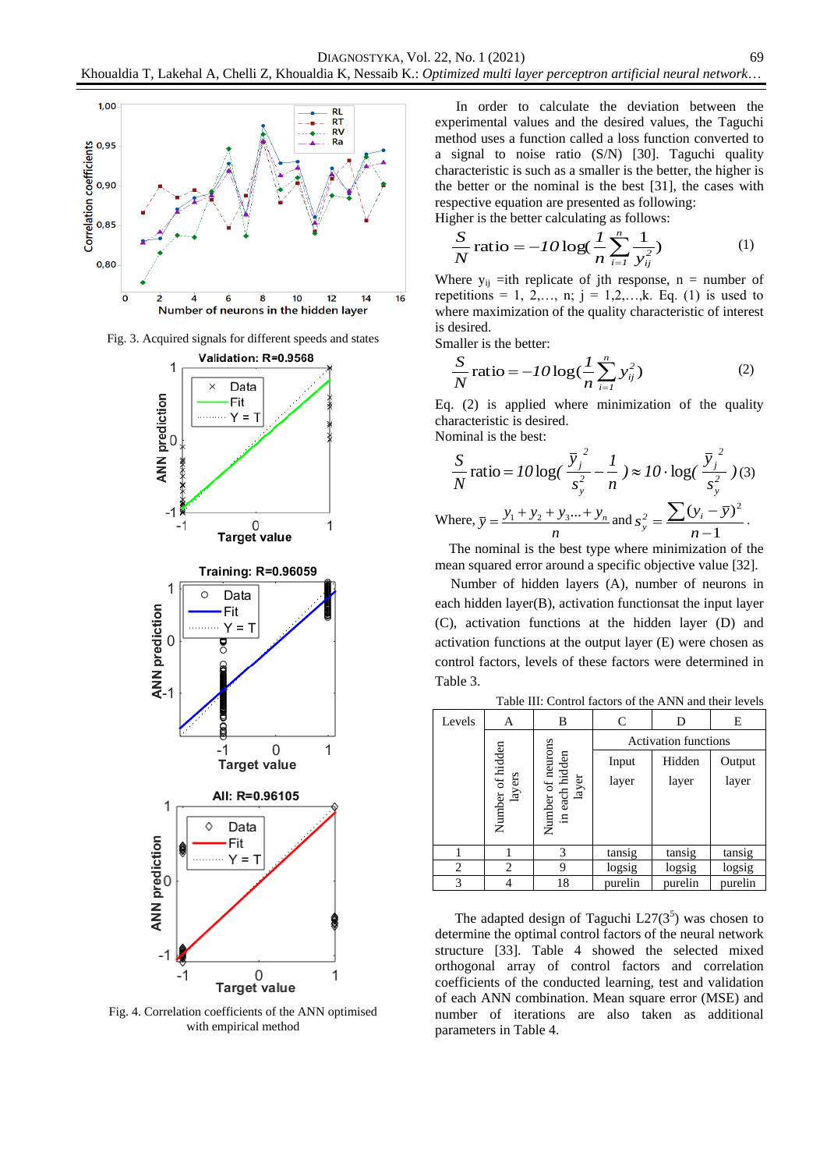

Fig. 3. Acquired signals for different speeds and states



Fig. 4. Correlation coefficients of the ANN optimised with empirical method

In order to calculate the deviation between the experimental values and the desired values, the Taguchi method uses a function called a loss function converted to a signal to noise ratio (S/N) [30]. Taguchi quality characteristic is such as a smaller is the better, the higher is the better or the nominal is the best [31], the cases with respective equation are presented as following: Higher is the better calculating as follows:

*n*

$$
\frac{S}{N} \text{ratio} = -10 \log \left( \frac{1}{n} \sum_{i=1}^{n} \frac{1}{y_{ij}^2} \right) \tag{1}
$$

Where  $y_{ij}$  =ith replicate of jth response, n = number of repetitions = 1, 2,..., n;  $j = 1, 2,..., k$ . Eq. (1) is used to where maximization of the quality characteristic of interest is desired.

Smaller is the better:

$$
\frac{S}{N}\text{ratio} = -IO\log\left(\frac{I}{n}\sum_{i=1}^{n}y_{ij}^{2}\right)
$$
\n(2)

Eq. (2) is applied where minimization of the quality characteristic is desired. Nominal is the best:

$$
\frac{S}{N} \text{ratio} = 10 \log \left( \frac{\overline{y}_j^2}{s_y^2} - \frac{1}{n} \right) \approx 10 \cdot \log \left( \frac{\overline{y}_j^2}{s_y^2} \right) (3)
$$
\n
$$
\text{Where, } \overline{y} = \frac{y_1 + y_2 + y_3 ... + y_n}{n} \text{ and } s_y^2 = \frac{\sum (y_i - \overline{y})^2}{n - 1}.
$$

The nominal is the best type where minimization of the mean squared error around a specific objective value [32].

Number of hidden layers (A), number of neurons in each hidden layer(B), activation functionsat the input layer (C), activation functions at the hidden layer (D) and activation functions at the output layer (E) were chosen as control factors, levels of these factors were determined in Table 3.

| Levels | А                | B                                            | $\mathsf{C}$                | D       | E       |
|--------|------------------|----------------------------------------------|-----------------------------|---------|---------|
|        |                  |                                              | <b>Activation functions</b> |         |         |
|        | Number of hidden | Number of neurons<br>in each hidden<br>layer | Input                       | Hidden  | Output  |
|        | layers           |                                              | layer                       | layer   | layer   |
|        |                  |                                              |                             |         |         |
|        |                  |                                              |                             |         |         |
|        |                  |                                              |                             |         |         |
|        |                  | 3                                            | tansig                      | tansig  | tansig  |
| 2      | 2                | 9                                            | logsig                      | logsig  | logsig  |
| 3      | 4                | 18                                           | purelin                     | purelin | purelin |

Table III: Control factors of the ANN and their levels

The adapted design of Taguchi  $L27(3^5)$  was chosen to determine the optimal control factors of the neural network structure [33]. Table 4 showed the selected mixed orthogonal array of control factors and correlation coefficients of the conducted learning, test and validation of each ANN combination. Mean square error (MSE) and number of iterations are also taken as additional parameters in Table 4.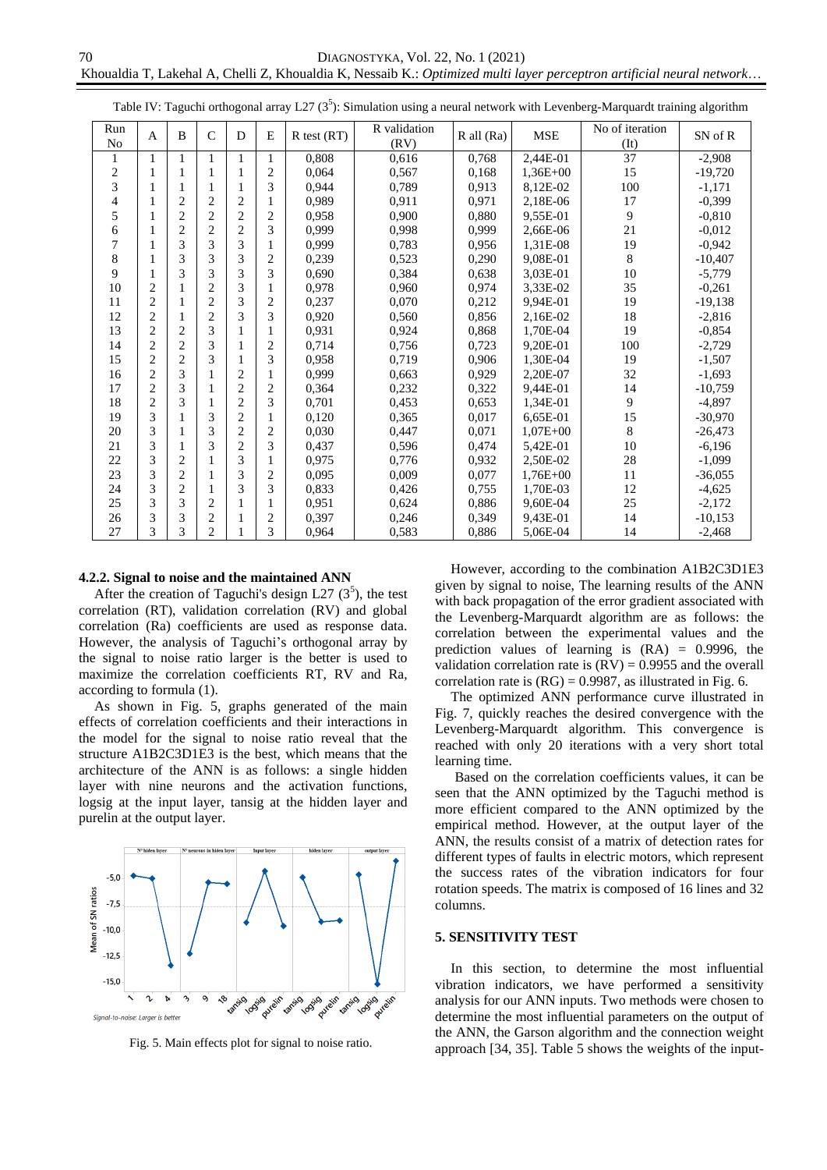Table IV: Taguchi orthogonal array L27  $(3^5)$ : Simulation using a neural network with Levenberg-Marquardt training algorithm

| Run<br>N <sub>0</sub> | A              | B              | $\mathsf{C}$   | D              | E              | $R$ test $(RT)$ | R validation<br>(RV) | $R$ all $(Ra)$ | <b>MSE</b>   | No of iteration<br>(It) | SN of R   |
|-----------------------|----------------|----------------|----------------|----------------|----------------|-----------------|----------------------|----------------|--------------|-------------------------|-----------|
| 1                     | 1              | 1              | 1              | 1              | 1              | 0,808           | 0,616                | 0,768          | 2,44E-01     | 37                      | $-2,908$  |
| 2                     |                |                |                |                | 2              | 0.064           | 0,567                | 0.168          | $1.36E + 00$ | 15                      | $-19,720$ |
| 3                     |                |                |                |                | 3              | 0.944           | 0,789                | 0,913          | 8,12E-02     | 100                     | $-1,171$  |
| 4                     |                | $\overline{c}$ | 2              | $\overline{c}$ | 1              | 0.989           | 0,911                | 0.971          | 2.18E-06     | 17                      | $-0.399$  |
| 5                     |                | $\overline{c}$ | $\overline{2}$ | $\overline{2}$ | $\overline{2}$ | 0.958           | 0.900                | 0.880          | 9.55E-01     | 9                       | $-0,810$  |
| 6                     |                | $\overline{c}$ | $\overline{c}$ | $\overline{2}$ | 3              | 0,999           | 0,998                | 0,999          | 2,66E-06     | 21                      | $-0,012$  |
| 7                     |                | 3              | 3              | 3              | 1              | 0.999           | 0.783                | 0.956          | 1.31E-08     | 19                      | $-0.942$  |
| 8                     |                | 3              | 3              | 3              | $\overline{2}$ | 0,239           | 0,523                | 0,290          | 9,08E-01     | 8                       | $-10,407$ |
| 9                     |                | 3              | 3              | 3              | 3              | 0,690           | 0,384                | 0,638          | 3,03E-01     | 10                      | $-5,779$  |
| 10                    | $\overline{2}$ |                | $\overline{c}$ | 3              | 1              | 0.978           | 0.960                | 0.974          | 3.33E-02     | 35                      | $-0,261$  |
| 11                    | $\overline{2}$ | 1              | $\overline{c}$ | 3              | $\overline{2}$ | 0,237           | 0,070                | 0,212          | 9,94E-01     | 19                      | $-19,138$ |
| 12                    | $\overline{c}$ | 1              | $\overline{c}$ | 3              | 3              | 0.920           | 0,560                | 0.856          | 2.16E-02     | 18                      | $-2,816$  |
| 13                    | $\overline{2}$ | $\overline{2}$ | 3              |                | 1              | 0,931           | 0,924                | 0,868          | 1,70E-04     | 19                      | $-0,854$  |
| 14                    | $\overline{2}$ | $\overline{c}$ | 3              |                | $\overline{2}$ | 0,714           | 0,756                | 0,723          | 9,20E-01     | 100                     | $-2,729$  |
| 15                    | $\overline{c}$ | $\overline{2}$ | 3              |                | 3              | 0.958           | 0.719                | 0.906          | 1.30E-04     | 19                      | $-1,507$  |
| 16                    | $\overline{2}$ | 3              |                | $\overline{2}$ | 1              | 0,999           | 0,663                | 0,929          | 2,20E-07     | 32                      | $-1,693$  |
| 17                    | $\overline{2}$ | 3              |                | $\overline{2}$ | $\overline{2}$ | 0,364           | 0,232                | 0,322          | 9,44E-01     | 14                      | $-10,759$ |
| 18                    | $\overline{2}$ | 3              |                | $\overline{2}$ | 3              | 0.701           | 0,453                | 0,653          | 1,34E-01     | 9                       | $-4,897$  |
| 19                    | 3              | 1              | 3              | $\overline{2}$ | 1              | 0,120           | 0,365                | 0,017          | 6,65E-01     | 15                      | $-30,970$ |
| 20                    | 3              | 1              | 3              | $\overline{2}$ | $\mathbf{2}$   | 0.030           | 0.447                | 0.071          | $1.07E + 00$ | 8                       | $-26,473$ |
| 21                    | 3              | 1              | 3              | $\overline{2}$ | 3              | 0,437           | 0,596                | 0,474          | 5,42E-01     | 10                      | $-6,196$  |
| 22                    | 3              | $\overline{2}$ |                | 3              | 1              | 0.975           | 0,776                | 0,932          | 2,50E-02     | 28                      | $-1,099$  |
| 23                    | 3              | $\overline{c}$ |                | 3              | $\overline{2}$ | 0,095           | 0,009                | 0,077          | $1,76E+00$   | 11                      | $-36,055$ |
| 24                    | 3              | $\overline{2}$ |                | 3              | 3              | 0,833           | 0,426                | 0,755          | 1,70E-03     | 12                      | $-4,625$  |
| 25                    | 3              | 3              | 2              |                | 1              | 0,951           | 0,624                | 0,886          | 9,60E-04     | 25                      | $-2,172$  |
| 26                    | 3              | 3              | $\overline{2}$ |                | $\overline{c}$ | 0,397           | 0,246                | 0,349          | 9,43E-01     | 14                      | $-10,153$ |
| 27                    | 3              | 3              | $\overline{2}$ |                | 3              | 0,964           | 0,583                | 0,886          | 5,06E-04     | 14                      | $-2,468$  |

#### **4.2.2. Signal to noise and the maintained ANN**

After the creation of Taguchi's design L27  $(3^5)$ , the test correlation (RT), validation correlation (RV) and global correlation (Ra) coefficients are used as response data. However, the analysis of Taguchi's orthogonal array by the signal to noise ratio larger is the better is used to maximize the correlation coefficients RT, RV and Ra, according to formula (1).

As shown in Fig. 5, graphs generated of the main effects of correlation coefficients and their interactions in the model for the signal to noise ratio reveal that the structure A1B2C3D1E3 is the best, which means that the architecture of the ANN is as follows: a single hidden layer with nine neurons and the activation functions, logsig at the input layer, tansig at the hidden layer and purelin at the output layer.



Fig. 5. Main effects plot for signal to noise ratio.

However, according to the combination A1B2C3D1E3 given by signal to noise, The learning results of the ANN with back propagation of the error gradient associated with the Levenberg-Marquardt algorithm are as follows: the correlation between the experimental values and the prediction values of learning is  $(RA) = 0.9996$ , the validation correlation rate is  $(RV) = 0.9955$  and the overall correlation rate is  $(RG) = 0.9987$ , as illustrated in Fig. 6.

The optimized ANN performance curve illustrated in Fig. 7, quickly reaches the desired convergence with the Levenberg-Marquardt algorithm. This convergence is reached with only 20 iterations with a very short total learning time.

Based on the correlation coefficients values, it can be seen that the ANN optimized by the Taguchi method is more efficient compared to the ANN optimized by the empirical method. However, at the output layer of the ANN, the results consist of a matrix of detection rates for different types of faults in electric motors, which represent the success rates of the vibration indicators for four rotation speeds. The matrix is composed of 16 lines and 32 columns.

### **5. SENSITIVITY TEST**

In this section, to determine the most influential vibration indicators, we have performed a sensitivity analysis for our ANN inputs. Two methods were chosen to determine the most influential parameters on the output of the ANN, the Garson algorithm and the connection weight approach [34, 35]. Table 5 shows the weights of the input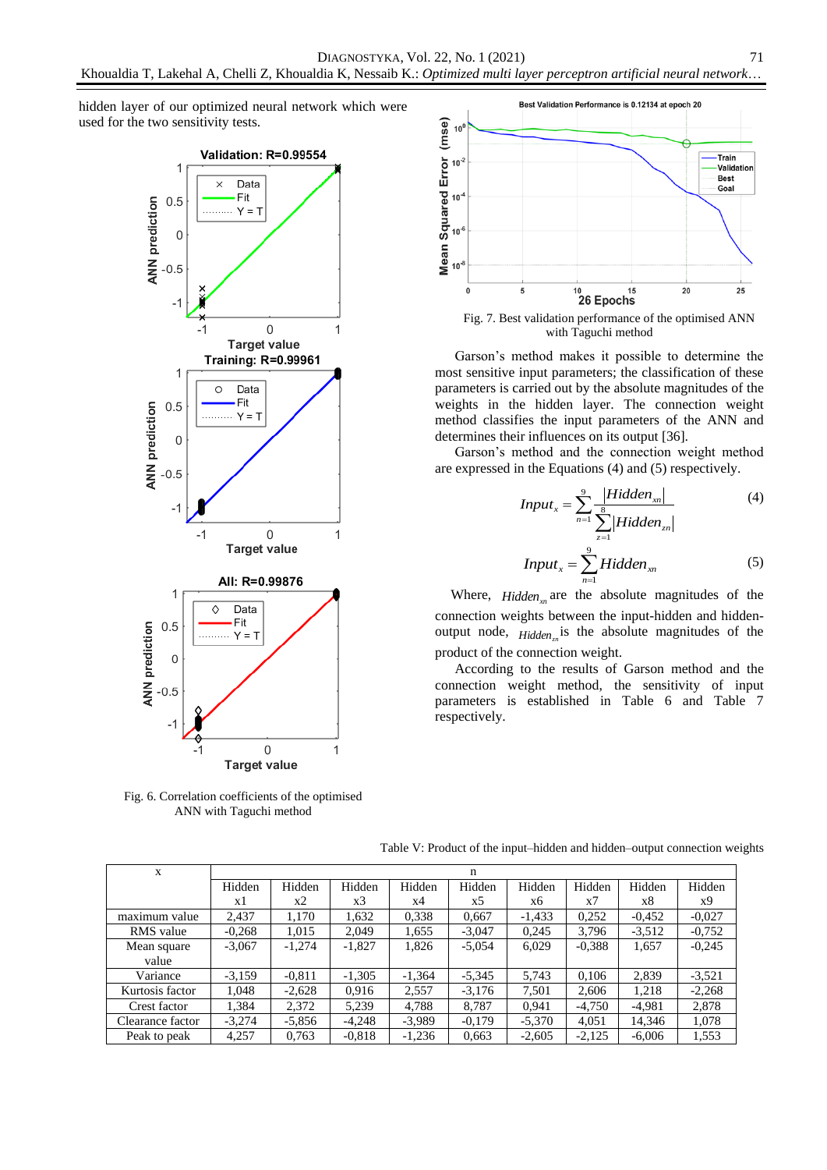hidden layer of our optimized neural network which were used for the two sensitivity tests.



Fig. 6. Correlation coefficients of the optimised ANN with Taguchi method



Fig. 7. Best validation performance of the optimised ANN with Taguchi method

Garson's method makes it possible to determine the most sensitive input parameters; the classification of these parameters is carried out by the absolute magnitudes of the weights in the hidden layer. The connection weight method classifies the input parameters of the ANN and determines their influences on its output [36].

Garson's method and the connection weight method are expressed in the Equations (4) and (5) respectively.

$$
Input_x = \sum_{n=1}^{9} \underbrace{\left| Hidden_{xn} \right|}_{z=1} \tag{4}
$$

$$
Input_x = \sum_{n=1}^{9} Hidden_{xn}
$$
 (5)

Where,  $Hidden_{yn}$  are the absolute magnitudes of the connection weights between the input-hidden and hiddenoutput node, *Hiddenzn* is the absolute magnitudes of the product of the connection weight.

According to the results of Garson method and the connection weight method, the sensitivity of input parameters is established in Table 6 and Table 7 respectively.

| X                |          |          |          |          | n        |          |          |          |          |
|------------------|----------|----------|----------|----------|----------|----------|----------|----------|----------|
|                  | Hidden   | Hidden   | Hidden   | Hidden   | Hidden   | Hidden   | Hidden   | Hidden   | Hidden   |
|                  | xl       | x2       | x3       | x4       | x5       | x6       | x7       | x8       | x9       |
| maximum value    | 2,437    | 1,170    | 1,632    | 0,338    | 0,667    | $-1,433$ | 0,252    | $-0.452$ | $-0,027$ |
| RMS value        | $-0,268$ | 1,015    | 2.049    | 1,655    | $-3.047$ | 0,245    | 3,796    | $-3,512$ | $-0,752$ |
| Mean square      | $-3,067$ | $-1.274$ | $-1,827$ | 1,826    | $-5,054$ | 6,029    | $-0.388$ | 1,657    | $-0,245$ |
| value            |          |          |          |          |          |          |          |          |          |
| Variance         | $-3,159$ | $-0.811$ | $-1,305$ | $-1,364$ | $-5,345$ | 5,743    | 0,106    | 2,839    | $-3,521$ |
| Kurtosis factor  | 1,048    | $-2,628$ | 0.916    | 2,557    | $-3.176$ | 7,501    | 2,606    | 1,218    | $-2,268$ |
| Crest factor     | 1,384    | 2,372    | 5,239    | 4,788    | 8.787    | 0.941    | $-4,750$ | $-4.981$ | 2,878    |
| Clearance factor | $-3.274$ | $-5.856$ | $-4.248$ | $-3.989$ | $-0.179$ | $-5.370$ | 4,051    | 14.346   | 1,078    |
| Peak to peak     | 4,257    | 0.763    | $-0.818$ | $-1.236$ | 0.663    | $-2.605$ | $-2,125$ | $-6,006$ | 1,553    |

Table V: Product of the input–hidden and hidden–output connection weights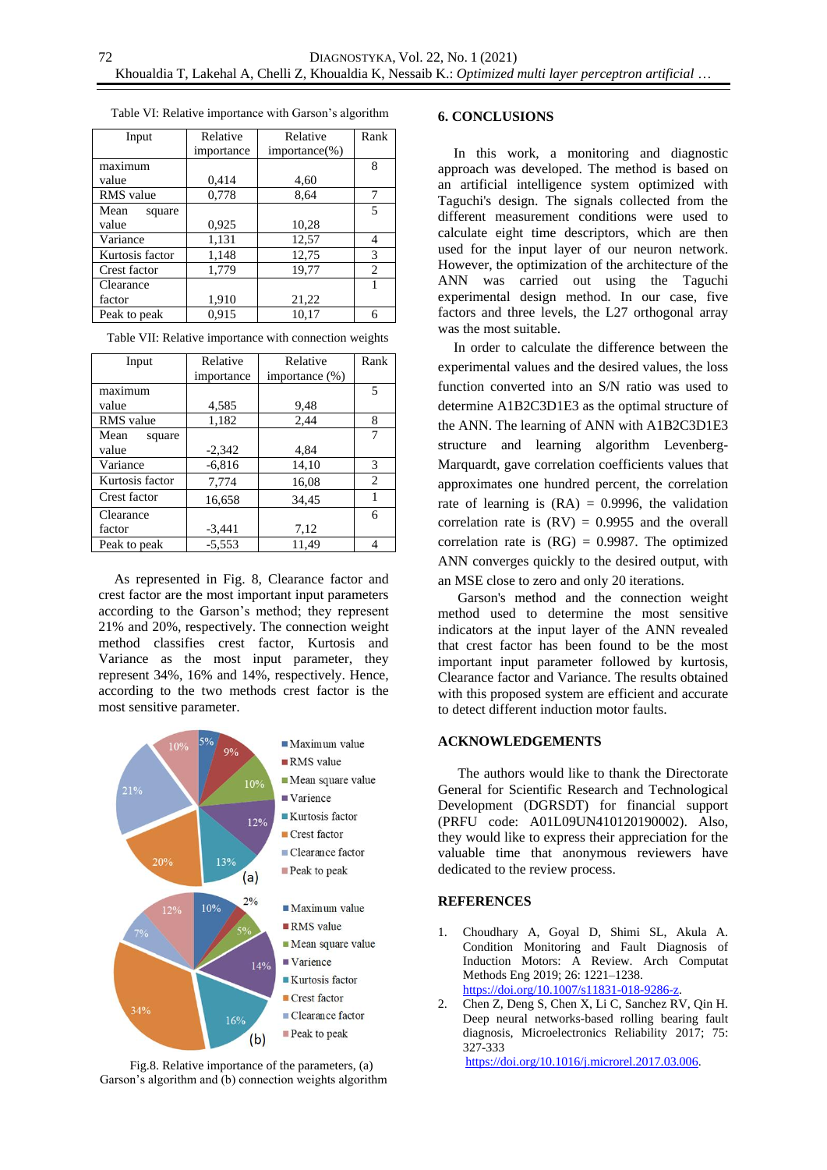|  |  | Table VI: Relative importance with Garson's algorithm |
|--|--|-------------------------------------------------------|
|--|--|-------------------------------------------------------|

| Input           | Relative   | Relative          | Rank |
|-----------------|------------|-------------------|------|
|                 | importance | $importance(\% )$ |      |
| maximum         |            |                   | 8    |
| value           | 0,414      | 4,60              |      |
| RMS value       | 0,778      | 8,64              | 7    |
| Mean<br>square  |            |                   | 5    |
| value           | 0,925      | 10,28             |      |
| Variance        | 1,131      | 12,57             |      |
| Kurtosis factor | 1,148      | 12,75             | 3    |
| Crest factor    | 1,779      | 19,77             | 2    |
| Clearance       |            |                   |      |
| factor          | 1,910      | 21,22             |      |
| Peak to peak    | 0.915      | 10,17             | 6    |

| Input           | Relative   | Relative          | Rank           |
|-----------------|------------|-------------------|----------------|
|                 | importance | importance $(\%)$ |                |
| maximum         |            |                   | 5              |
| value           | 4,585      | 9,48              |                |
| RMS value       | 1,182      | 2,44              | 8              |
| Mean<br>square  |            |                   | 7              |
| value           | $-2,342$   | 4,84              |                |
| Variance        | $-6,816$   | 14,10             | 3              |
| Kurtosis factor | 7,774      | 16,08             | $\overline{c}$ |
| Crest factor    | 16,658     | 34,45             | 1              |
| Clearance       |            |                   | 6              |
| factor          | $-3,441$   | 7,12              |                |
| Peak to peak    | $-5,553$   | 11,49             | 4              |

Table VII: Relative importance with connection weights

As represented in Fig. 8, Clearance factor and crest factor are the most important input parameters according to the Garson's method; they represent 21% and 20%, respectively. The connection weight method classifies crest factor, Kurtosis and Variance as the most input parameter, they represent 34%, 16% and 14%, respectively. Hence, according to the two methods crest factor is the most sensitive parameter.



Fig.8. Relative importance of the parameters, (a) Garson's algorithm and (b) connection weights algorithm

#### **6. CONCLUSIONS**

In this work, a monitoring and diagnostic approach was developed. The method is based on an artificial intelligence system optimized with Taguchi's design. The signals collected from the different measurement conditions were used to calculate eight time descriptors, which are then used for the input layer of our neuron network. However, the optimization of the architecture of the ANN was carried out using the Taguchi experimental design method. In our case, five factors and three levels, the L27 orthogonal array was the most suitable.

In order to calculate the difference between the experimental values and the desired values, the loss function converted into an S/N ratio was used to determine A1B2C3D1E3 as the optimal structure of the ANN. The learning of ANN with A1B2C3D1E3 structure and learning algorithm Levenberg-Marquardt, gave correlation coefficients values that approximates one hundred percent, the correlation rate of learning is  $(RA) = 0.9996$ , the validation correlation rate is  $(RV) = 0.9955$  and the overall correlation rate is  $(RG) = 0.9987$ . The optimized ANN converges quickly to the desired output, with an MSE close to zero and only 20 iterations.

Garson's method and the connection weight method used to determine the most sensitive indicators at the input layer of the ANN revealed that crest factor has been found to be the most important input parameter followed by kurtosis, Clearance factor and Variance. The results obtained with this proposed system are efficient and accurate to detect different induction motor faults.

### **ACKNOWLEDGEMENTS**

The authors would like to thank the Directorate General for Scientific Research and Technological Development (DGRSDT) for financial support (PRFU code: A01L09UN410120190002). Also, they would like to express their appreciation for the valuable time that anonymous reviewers have dedicated to the review process.

#### **REFERENCES**

- 1. Choudhary A, Goyal D, Shimi SL, Akula A. Condition Monitoring and Fault Diagnosis of Induction Motors: A Review. Arch Computat Methods Eng 2019; 26: 1221–1238. [https://doi.org/10.1007/s11831-018-9286-z.](https://doi.org/10.1007/s11831-018-9286-z)
- 2. Chen Z, Deng S, Chen X, Li C, Sanchez RV, Qin H. Deep neural networks-based rolling bearing fault diagnosis, Microelectronics Reliability 2017; 75: 327-333

[https://doi.org/10.1016/j.microrel.2017.03.006.](https://doi.org/10.1016/j.microrel.2017.03.006)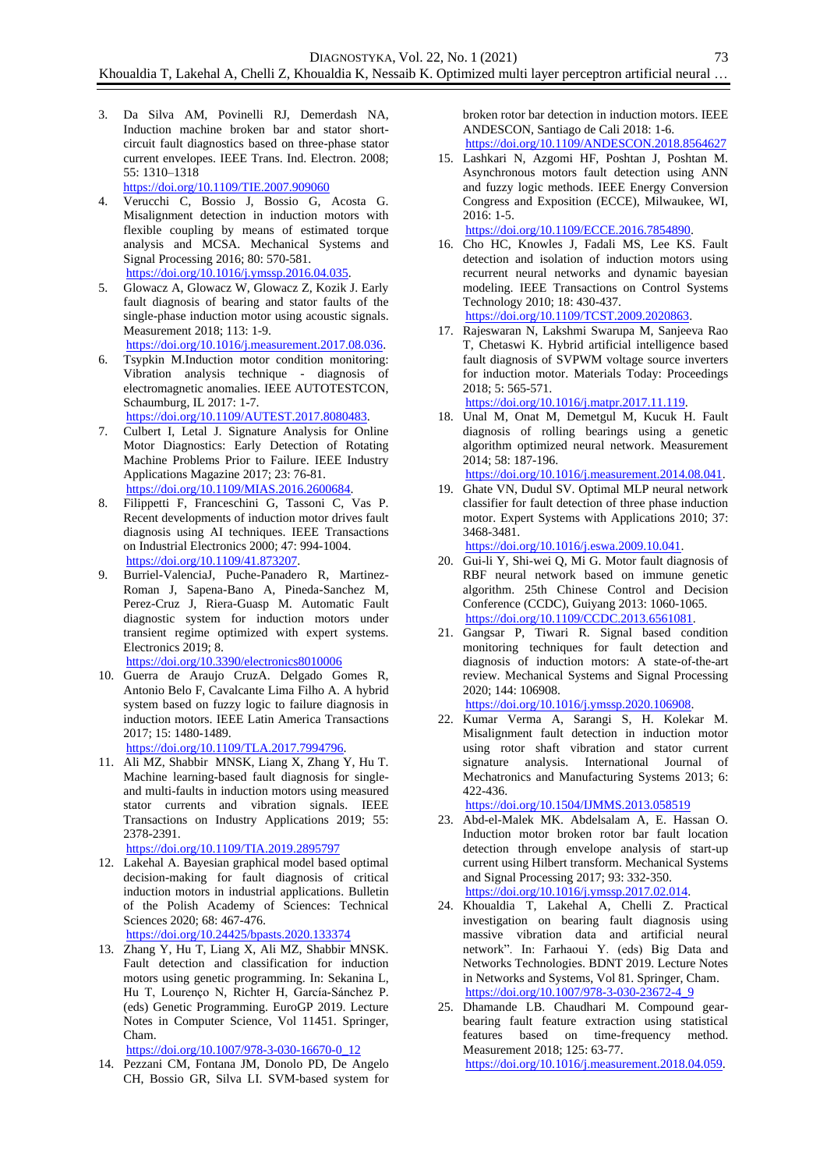- 3. Da Silva AM, Povinelli RJ, Demerdash NA, Induction machine broken bar and stator shortcircuit fault diagnostics based on three-phase stator current envelopes. IEEE Trans. Ind. Electron. 2008; 55: 1310–1318 <https://doi.org/10.1109/TIE.2007.909060>
- 4. Verucchi C, Bossio J, Bossio G, Acosta G. Misalignment detection in induction motors with flexible coupling by means of estimated torque analysis and MCSA. Mechanical Systems and Signal Processing 2016; 80: 570-581. [https://doi.org/10.1016/j.ymssp.2016.04.035.](https://doi.org/10.1016/j.ymssp.2016.04.035)
- 5. Glowacz A, Glowacz W, Glowacz Z, Kozik J. Early fault diagnosis of bearing and stator faults of the single-phase induction motor using acoustic signals. Measurement 2018; 113: 1-9. [https://doi.org/10.1016/j.measurement.2017.08.036.](https://doi.org/10.1016/j.measurement.2017.08.036)
- 6. Tsypkin M.Induction motor condition monitoring: Vibration analysis technique - diagnosis of electromagnetic anomalies. IEEE AUTOTESTCON, Schaumburg, IL 2017: 1-7.
	- [https://doi.org/10.1109/AUTEST.2017.8080483.](https://doi.org/10.1109/AUTEST.2017.8080483)
- 7. Culbert I, Letal J. Signature Analysis for Online Motor Diagnostics: Early Detection of Rotating Machine Problems Prior to Failure. IEEE Industry Applications Magazine 2017; 23: 76-81. [https://doi.org/10.1109/MIAS.2016.2600684.](https://doi.org/10.1109/MIAS.2016.2600684)
- 8. Filippetti F, Franceschini G, Tassoni C, Vas P. Recent developments of induction motor drives fault diagnosis using AI techniques. IEEE Transactions on Industrial Electronics 2000; 47: 994-1004. [https://doi.org/10.1109/41.873207.](https://doi.org/10.1109/41.873207)
- 9. Burriel-ValenciaJ, Puche-Panadero R, Martinez-Roman J, Sapena-Bano A, Pineda-Sanchez M, Perez-Cruz J, Riera-Guasp M. Automatic Fault diagnostic system for induction motors under transient regime optimized with expert systems. Electronics 2019; 8. <https://doi.org/10.3390/electronics8010006>
- 10. Guerra de Araujo CruzA. Delgado Gomes R, Antonio Belo F, Cavalcante Lima Filho A. A hybrid system based on fuzzy logic to failure diagnosis in induction motors. IEEE Latin America Transactions 2017; 15: 1480-1489.
	- [https://doi.org/10.1109/TLA.2017.7994796.](https://doi.org/10.1109/TLA.2017.7994796)
- 11. Ali MZ, Shabbir MNSK, Liang X, Zhang Y, Hu T. Machine learning-based fault diagnosis for singleand multi-faults in induction motors using measured stator currents and vibration signals. IEEE Transactions on Industry Applications 2019; 55: 2378-2391. <https://doi.org/10.1109/TIA.2019.2895797>
- 12. Lakehal A. Bayesian graphical model based optimal decision-making for fault diagnosis of critical induction motors in industrial applications. Bulletin of the Polish Academy of Sciences: Technical Sciences 2020; 68: 467-476.
	- <https://doi.org/10.24425/bpasts.2020.133374>
- 13. Zhang Y, Hu T, Liang X, Ali MZ, Shabbir MNSK. Fault detection and classification for induction motors using genetic programming. In: Sekanina L, Hu T, Lourenço N, Richter H, García-Sánchez P. (eds) Genetic Programming. EuroGP 2019. Lecture Notes in Computer Science, Vol 11451. Springer, Cham.

[https://doi.org/10.1007/978-3-030-16670-0\\_12](https://doi.org/10.1007/978-3-030-16670-0_12)

14. Pezzani CM, Fontana JM, Donolo PD, De Angelo CH, Bossio GR, Silva LI. SVM-based system for broken rotor bar detection in induction motors. IEEE ANDESCON, Santiago de Cali 2018: 1-6. <https://doi.org/10.1109/ANDESCON.2018.8564627>

15. Lashkari N, Azgomi HF, Poshtan J, Poshtan M. Asynchronous motors fault detection using ANN and fuzzy logic methods. IEEE Energy Conversion Congress and Exposition (ECCE), Milwaukee, WI,  $2016: 1-5$ 

[https://doi.org/10.1109/ECCE.2016.7854890.](https://doi.org/10.1109/ECCE.2016.7854890)

- 16. Cho HC, Knowles J, Fadali MS, Lee KS. Fault detection and isolation of induction motors using recurrent neural networks and dynamic bayesian modeling. IEEE Transactions on Control Systems Technology 2010; 18: 430-437. [https://doi.org/10.1109/TCST.2009.2020863.](https://doi.org/10.1109/TCST.2009.2020863)
- 17. Rajeswaran N, Lakshmi Swarupa M, Sanjeeva Rao T, Chetaswi K. Hybrid artificial intelligence based fault diagnosis of SVPWM voltage source inverters for induction motor. Materials Today: Proceedings 2018; 5: 565-571. [https://doi.org/10.1016/j.matpr.2017.11.119.](https://doi.org/10.1016/j.matpr.2017.11.119)

- 18. Unal M, Onat M, Demetgul M, Kucuk H. Fault diagnosis of rolling bearings using a genetic algorithm optimized neural network. Measurement 2014; 58: 187-196. [https://doi.org/10.1016/j.measurement.2014.08.041.](https://doi.org/10.1016/j.measurement.2014.08.041)
- 19. Ghate VN, Dudul SV. Optimal MLP neural network classifier for fault detection of three phase induction motor. Expert Systems with Applications 2010; 37: 3468-3481.

[https://doi.org/10.1016/j.eswa.2009.10.041.](https://doi.org/10.1016/j.eswa.2009.10.041)

- 20. Gui-li Y, Shi-wei Q, Mi G. Motor fault diagnosis of RBF neural network based on immune genetic algorithm. 25th Chinese Control and Decision Conference (CCDC), Guiyang 2013: 1060-1065. [https://doi.org/10.1109/CCDC.2013.6561081.](https://doi.org/10.1109/CCDC.2013.6561081)
- 21. Gangsar P, Tiwari R. Signal based condition monitoring techniques for fault detection and diagnosis of induction motors: A state-of-the-art review. Mechanical Systems and Signal Processing 2020; 144: 106908. [https://doi.org/10.1016/j.ymssp.2020.106908.](https://doi.org/10.1016/j.ymssp.2020.106908)
- 22. Kumar Verma A, Sarangi S, H. Kolekar M. Misalignment fault detection in induction motor using rotor shaft vibration and stator current signature analysis. International Journal of Mechatronics and Manufacturing Systems 2013; 6: 422-436.

<https://doi.org/10.1504/IJMMS.2013.058519>

- 23. Abd-el-Malek MK. Abdelsalam A, E. Hassan O. Induction motor broken rotor bar fault location detection through envelope analysis of start-up current using Hilbert transform. Mechanical Systems and Signal Processing 2017; 93: 332-350. [https://doi.org/10.1016/j.ymssp.2017.02.014.](https://doi.org/10.1016/j.ymssp.2017.02.014)
- 24. Khoualdia T, Lakehal A, Chelli Z. Practical investigation on bearing fault diagnosis using massive vibration data and artificial neural network". In: Farhaoui Y. (eds) Big Data and Networks Technologies. BDNT 2019. Lecture Notes in Networks and Systems, Vol 81. Springer, Cham. [https://doi.org/10.1007/978-3-030-23672-4\\_9](https://doi.org/10.1007/978-3-030-23672-4_9)
- 25. Dhamande LB. Chaudhari M. Compound gearbearing fault feature extraction using statistical features based on time-frequency method. Measurement 2018; 125: 63-77. [https://doi.org/10.1016/j.measurement.2018.04.059.](https://doi.org/10.1016/j.measurement.2018.04.059)